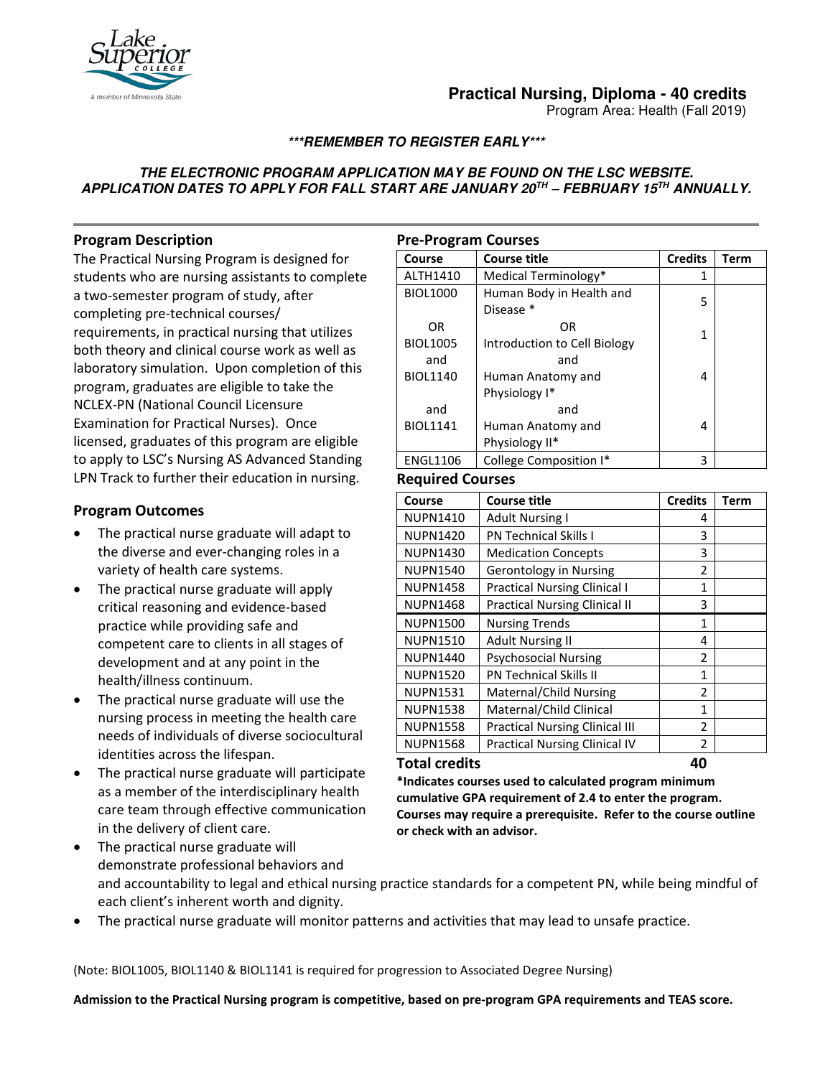

# **Practical Nursing, Diploma - 40 credits**

Program Area: Health (Fall 2019)

## **\*\*\*REMEMBER TO REGISTER EARLY\*\*\***

## **THE ELECTRONIC PROGRAM APPLICATION MAY BE FOUND ON THE LSC WEBSITE. APPLICATION DATES TO APPLY FOR FALL START ARE JANUARY 20TH – FEBRUARY 15TH ANNUALLY.**

# **Program Description**

The Practical Nursing Program is designed for students who are nursing assistants to complete a two-semester program of study, after completing pre-technical courses/ requirements, in practical nursing that utilizes both theory and clinical course work as well as laboratory simulation. Upon completion of this program, graduates are eligible to take the NCLEX-PN (National Council Licensure Examination for Practical Nurses). Once licensed, graduates of this program are eligible to apply to LSC's Nursing AS Advanced Standing LPN Track to further their education in nursing.

# **Program Outcomes**

- The practical nurse graduate will adapt to the diverse and ever-changing roles in a variety of health care systems.
- The practical nurse graduate will apply critical reasoning and evidence-based practice while providing safe and competent care to clients in all stages of development and at any point in the health/illness continuum.
- The practical nurse graduate will use the nursing process in meeting the health care needs of individuals of diverse sociocultural identities across the lifespan.
- The practical nurse graduate will participate as a member of the interdisciplinary health care team through effective communication in the delivery of client care.

| <b>Pre-Program Courses</b> |                              |                |      |  |
|----------------------------|------------------------------|----------------|------|--|
| Course                     | <b>Course title</b>          | <b>Credits</b> | Term |  |
| ALTH1410                   | Medical Terminology*         | 1              |      |  |
| <b>BIOL1000</b>            | Human Body in Health and     | 5              |      |  |
|                            | Disease *                    |                |      |  |
| OR                         | 0R                           | 1              |      |  |
| <b>BIOL1005</b>            | Introduction to Cell Biology |                |      |  |
| and                        | and                          |                |      |  |
| <b>BIOL1140</b>            | Human Anatomy and            | 4              |      |  |
|                            | Physiology I*                |                |      |  |
| and                        | and                          |                |      |  |
| <b>BIOL1141</b>            | Human Anatomy and            | 4              |      |  |
|                            | Physiology II*               |                |      |  |
| <b>ENGL1106</b>            | College Composition I*       | 3              |      |  |

## **Required Courses**

| Course               | <b>Course title</b>                   | <b>Credits</b> | Term |
|----------------------|---------------------------------------|----------------|------|
| <b>NUPN1410</b>      | <b>Adult Nursing I</b>                | 4              |      |
| <b>NUPN1420</b>      | <b>PN Technical Skills I</b>          | 3              |      |
| <b>NUPN1430</b>      | <b>Medication Concepts</b>            | 3              |      |
| <b>NUPN1540</b>      | <b>Gerontology in Nursing</b>         | $\mathfrak z$  |      |
| <b>NUPN1458</b>      | <b>Practical Nursing Clinical I</b>   | 1              |      |
| <b>NUPN1468</b>      | <b>Practical Nursing Clinical II</b>  | 3              |      |
| <b>NUPN1500</b>      | <b>Nursing Trends</b>                 | 1              |      |
| <b>NUPN1510</b>      | <b>Adult Nursing II</b>               | 4              |      |
| <b>NUPN1440</b>      | <b>Psychosocial Nursing</b>           | 2              |      |
| <b>NUPN1520</b>      | <b>PN Technical Skills II</b>         | 1              |      |
| <b>NUPN1531</b>      | Maternal/Child Nursing                | 2              |      |
| <b>NUPN1538</b>      | Maternal/Child Clinical               | 1              |      |
| <b>NUPN1558</b>      | <b>Practical Nursing Clinical III</b> | 2              |      |
| <b>NUPN1568</b>      | <b>Practical Nursing Clinical IV</b>  | 2              |      |
| <b>Total credits</b> | 40                                    |                |      |

**\*Indicates courses used to calculated program minimum cumulative GPA requirement of 2.4 to enter the program. Courses may require a prerequisite. Refer to the course outline or check with an advisor.**

- The practical nurse graduate will demonstrate professional behaviors and and accountability to legal and ethical nursing practice standards for a competent PN, while being mindful of each client's inherent worth and dignity.
- The practical nurse graduate will monitor patterns and activities that may lead to unsafe practice.

(Note: BIOL1005, BIOL1140 & BIOL1141 is required for progression to Associated Degree Nursing)

**Admission to the Practical Nursing program is competitive, based on pre-program GPA requirements and TEAS score.**